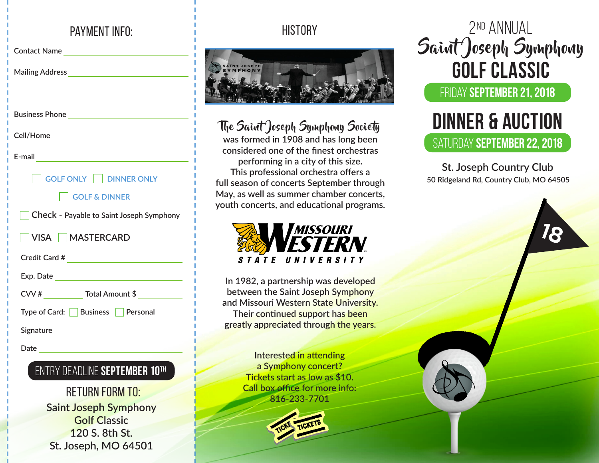# payment info:

| the control of the control of the control of the control of the control of the control of |  |  |
|-------------------------------------------------------------------------------------------|--|--|
|                                                                                           |  |  |
|                                                                                           |  |  |
|                                                                                           |  |  |
| GOLF ONLY     DINNER ONLY                                                                 |  |  |
| <b>GOLF &amp; DINNER</b>                                                                  |  |  |
| <b>Check - Payable to Saint Joseph Symphony</b>                                           |  |  |
| VISA MASTERCARD                                                                           |  |  |
| Credit Card # __________________________________                                          |  |  |
|                                                                                           |  |  |
| CVV # _____________ Total Amount \$ _____________                                         |  |  |
| Type of Card: Business Personal                                                           |  |  |
|                                                                                           |  |  |
|                                                                                           |  |  |
|                                                                                           |  |  |

## entry deadline **september 10th**

**Saint Joseph Symphony Golf Classic 120 S. 8th St. St. Joseph, MO 64501** RETURN FORM TO:

# **HISTORY**



# The Saint Joseph Symphony Society

**was formed in 1908 and has long been considered one of the finest orchestras performing in a city of this size. This professional orchestra offers a full season of concerts September through May, as well as summer chamber concerts, youth concerts, and educational programs.**



**In 1982, a partnership was developed between the Saint Joseph Symphony and Missouri Western State University. Their continued support has been greatly appreciated through the years.**

> **Interested in attending a Symphony concert? Tickets start as low as \$10. Call box office for more info: 816-233-7701**



# 2nd Annual Saint Joseph Symphony **GOLF CLASSIC**

## friday **SEPTEMBER 21, 2018**

# saturday **september 22, 2018 DINNER & Auction**

**St. Joseph Country Club 50 Ridgeland Rd, Country Club, MO 64505**